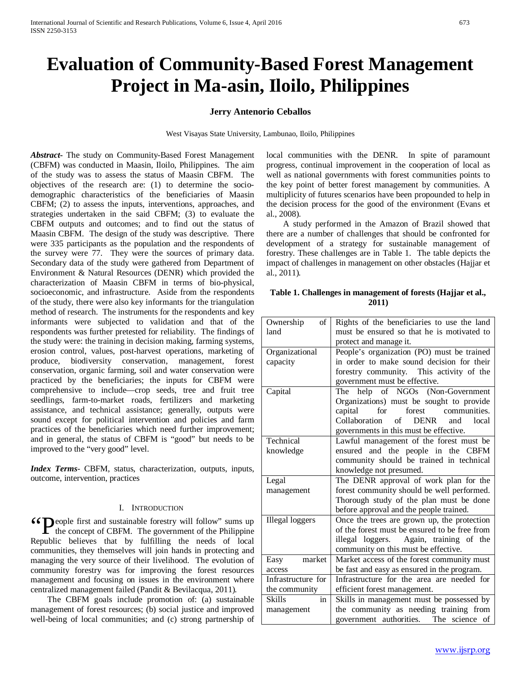# **Evaluation of Community-Based Forest Management Project in Ma-asin, Iloilo, Philippines**

## **Jerry Antenorio Ceballos**

West Visayas State University, Lambunao, Iloilo, Philippines

*Abstract***-** The study on Community-Based Forest Management (CBFM) was conducted in Maasin, Iloilo, Philippines. The aim of the study was to assess the status of Maasin CBFM. The objectives of the research are: (1) to determine the sociodemographic characteristics of the beneficiaries of Maasin CBFM; (2) to assess the inputs, interventions, approaches, and strategies undertaken in the said CBFM; (3) to evaluate the CBFM outputs and outcomes; and to find out the status of Maasin CBFM. The design of the study was descriptive. There were 335 participants as the population and the respondents of the survey were 77. They were the sources of primary data. Secondary data of the study were gathered from Department of Environment & Natural Resources (DENR) which provided the characterization of Maasin CBFM in terms of bio-physical, socioeconomic, and infrastructure. Aside from the respondents of the study, there were also key informants for the triangulation method of research. The instruments for the respondents and key informants were subjected to validation and that of the respondents was further pretested for reliability. The findings of the study were: the training in decision making, farming systems, erosion control, values, post-harvest operations, marketing of produce, biodiversity conservation, management, forest conservation, organic farming, soil and water conservation were practiced by the beneficiaries; the inputs for CBFM were comprehensive to include—crop seeds, tree and fruit tree seedlings, farm-to-market roads, fertilizers and marketing assistance, and technical assistance; generally, outputs were sound except for political intervention and policies and farm practices of the beneficiaries which need further improvement; and in general, the status of CBFM is "good" but needs to be improved to the "very good" level.

*Index Terms*- CBFM, status, characterization, outputs, inputs, outcome, intervention, practices

#### I. INTRODUCTION

**CO** People first and sustainable forestry will follow" sums up the concept of CBFM. The government of the Philippine  $\Gamma$  the concept of CBFM. The government of the Philippine Republic believes that by fulfilling the needs of local communities, they themselves will join hands in protecting and managing the very source of their livelihood. The evolution of community forestry was for improving the forest resources management and focusing on issues in the environment where centralized management failed (Pandit & Bevilacqua, 2011)*.*

 The CBFM goals include promotion of: (a) sustainable management of forest resources; (b) social justice and improved well-being of local communities; and (c) strong partnership of local communities with the DENR. In spite of paramount progress, continual improvement in the cooperation of local as well as national governments with forest communities points to the key point of better forest management by communities. A multiplicity of futures scenarios have been propounded to help in the decision process for the good of the environment (Evans et al., 2008).

 A study performed in the Amazon of Brazil showed that there are a number of challenges that should be confronted for development of a strategy for sustainable management of forestry. These challenges are in Table 1. The table depicts the impact of challenges in management on other obstacles (Hajjar et al., 2011)*.*

**Table 1. Challenges in management of forests (Hajjar et al., 2011)**

| Ownership<br>οf        | Rights of the beneficiaries to use the land                |
|------------------------|------------------------------------------------------------|
| land                   | must be ensured so that he is motivated to                 |
|                        | protect and manage it.                                     |
| Organizational         | People's organization (PO) must be trained                 |
| capacity               | in order to make sound decision for their                  |
|                        | forestry community. This activity of the                   |
|                        | government must be effective.                              |
| Capital                | The help of NGOs (Non-Government                           |
|                        | Organizations) must be sought to provide                   |
|                        | capital<br>for<br>forest<br>communities.                   |
|                        | $\sigma$ f<br>Collaboration<br><b>DENR</b><br>local<br>and |
|                        | governments in this must be effective.                     |
| Technical              | Lawful management of the forest must be                    |
| knowledge              | ensured and the people in the CBFM                         |
|                        | community should be trained in technical                   |
|                        | knowledge not presumed.                                    |
| Legal                  | The DENR approval of work plan for the                     |
| management             | forest community should be well performed.                 |
|                        | Thorough study of the plan must be done                    |
|                        | before approval and the people trained.                    |
| <b>Illegal</b> loggers | Once the trees are grown up, the protection                |
|                        | of the forest must be ensured to be free from              |
|                        | illegal loggers. Again, training of the                    |
|                        | community on this must be effective.                       |
| market<br>Easy         | Market access of the forest community must                 |
| access                 | be fast and easy as ensured in the program.                |
| Infrastructure for     | Infrastructure for the area are needed for                 |
| the community          | efficient forest management.                               |
| <b>Skills</b><br>in    | Skills in management must be possessed by                  |
| management             | the community as needing training from                     |
|                        | government authorities. The science of                     |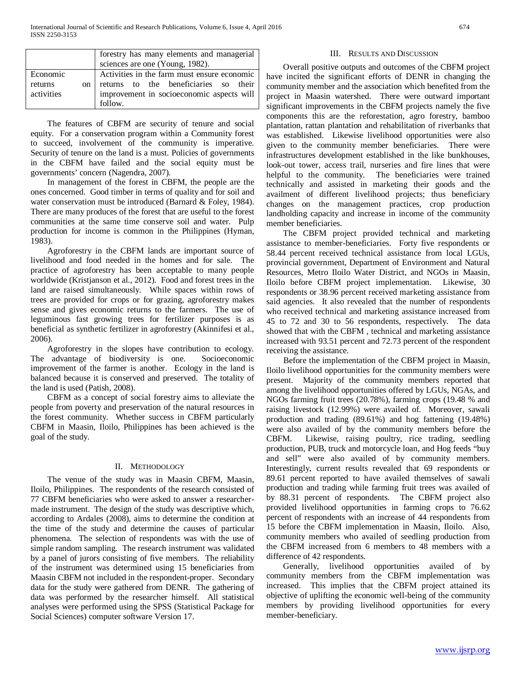|            |               | forestry has many elements and managerial   |
|------------|---------------|---------------------------------------------|
|            |               | sciences are one (Young, 1982).             |
| Economic   |               | Activities in the farm must ensure economic |
| returns    | <sub>on</sub> | returns to the beneficiaries so their       |
| activities |               | improvement in socioeconomic aspects will   |
|            |               | follow.                                     |

 The features of CBFM are security of tenure and social equity. For a conservation program within a Community forest to succeed, involvement of the community is imperative. Security of tenure on the land is a must. Policies of governments in the CBFM have failed and the social equity must be governments' concern (Nagendra, 2007).

 In management of the forest in CBFM, the people are the ones concerned. Good timber in terms of quality and for soil and water conservation must be introduced (Barnard & Foley, 1984). There are many produces of the forest that are useful to the forest communities at the same time conserve soil and water. Pulp production for income is common in the Philippines (Hyman, 1983).

 Agroforestry in the CBFM lands are important source of livelihood and food needed in the homes and for sale. The practice of agroforestry has been acceptable to many people worldwide (Kristjanson et al., 2012). Food and forest trees in the land are raised simultaneously. While spaces within rows of trees are provided for crops or for grazing, agroforestry makes sense and gives economic returns to the farmers. The use of leguminous fast growing trees for fertilizer purposes is as beneficial as synthetic fertilizer in agroforestry (Akinnifesi et al., 2006).

 Agroforestry in the slopes have contribution to ecology. The advantage of biodiversity is one. Socioeconomic improvement of the farmer is another. Ecology in the land is balanced because it is conserved and preserved. The totality of the land is used (Patish, 2008).

 CBFM as a concept of social forestry aims to alleviate the people from poverty and preservation of the natural resources in the forest community. Whether success in CBFM particularly CBFM in Maasin, Iloilo, Philippines has been achieved is the goal of the study.

### II. METHODOLOGY

 The venue of the study was in Maasin CBFM, Maasin, Iloilo, Philippines. The respondents of the research consisted of 77 CBFM beneficiaries who were asked to answer a researchermade instrument. The design of the study was descriptive which, according to Ardales (2008), aims to determine the condition at the time of the study and determine the causes of particular phenomena. The selection of respondents was with the use of simple random sampling. The research instrument was validated by a panel of jurors consisting of five members. The reliability of the instrument was determined using 15 beneficiaries from Maasin CBFM not included in the respondent-proper. Secondary data for the study were gathered from DENR. The gathering of data was performed by the researcher himself. All statistical analyses were performed using the SPSS (Statistical Package for Social Sciences) computer software Version 17.

## III. RESULTS AND DISCUSSION

 Overall positive outputs and outcomes of the CBFM project have incited the significant efforts of DENR in changing the community member and the association which benefited from the project in Maasin watershed. There were outward important significant improvements in the CBFM projects namely the five components this are the reforestation, agro forestry, bamboo plantation, rattan plantation and rehabilitation of riverbanks that was established. Likewise livelihood opportunities were also given to the community member beneficiaries. There were infrastructures development established in the like bunkhouses, look-out tower, access trail, nurseries and fire lines that were helpful to the community. The beneficiaries were trained technically and assisted in marketing their goods and the availment of different livelihood projects; thus beneficiary changes on the management practices, crop production landholding capacity and increase in income of the community member beneficiaries.

 The CBFM project provided technical and marketing assistance to member-beneficiaries. Forty five respondents or 58.44 percent received technical assistance from local LGUs, provincial government, Department of Environment and Natural Resources, Metro Iloilo Water District, and NGOs in Maasin, Iloilo before CBFM project implementation. Likewise, 30 respondents or 38.96 percent received marketing assistance from said agencies. It also revealed that the number of respondents who received technical and marketing assistance increased from 45 to 72 and 30 to 56 respondents, respectively. The data showed that with the CBFM , technical and marketing assistance increased with 93.51 percent and 72.73 percent of the respondent receiving the assistance.

 Before the implementation of the CBFM project in Maasin, Iloilo livelihood opportunities for the community members were present. Majority of the community members reported that among the livelihood opportunities offered by LGUs, NGAs, and NGOs farming fruit trees (20.78%), farming crops (19.48 % and raising livestock (12.99%) were availed of. Moreover, sawali production and trading (89.61%) and hog fattening (19.48%) were also availed of by the community members before the CBFM. Likewise, raising poultry, rice trading, seedling production, PUB, truck and motorcycle loan, and Hog feeds "buy and sell" were also availed of by community members. Interestingly, current results revealed that 69 respondents or 89.61 percent reported to have availed themselves of sawali production and trading while farming fruit trees was availed of by 88.31 percent of respondents. The CBFM project also provided livelihood opportunities in farming crops to 76.62 percent of respondents with an increase of 44 respondents from 15 before the CBFM implementation in Maasin, Iloilo. Also, community members who availed of seedling production from the CBFM increased from 6 members to 48 members with a difference of 42 respondents.

 Generally, livelihood opportunities availed of by community members from the CBFM implementation was increased. This implies that the CBFM project attained its objective of uplifting the economic well-being of the community members by providing livelihood opportunities for every member-beneficiary.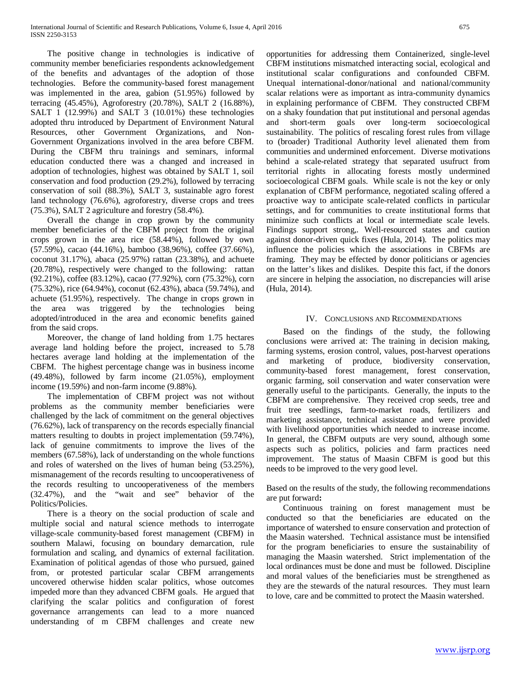The positive change in technologies is indicative of community member beneficiaries respondents acknowledgement of the benefits and advantages of the adoption of those technologies. Before the community-based forest management was implemented in the area, gabion (51.95%) followed by terracing (45.45%), Agroforestry (20.78%), SALT 2 (16.88%), SALT 1 (12.99%) and SALT 3 (10.01%) these technologies adopted thru introduced by Department of Environment Natural Resources, other Government Organizations, and Non-Government Organizations involved in the area before CBFM. During the CBFM thru trainings and seminars, informal education conducted there was a changed and increased in adoption of technologies, highest was obtained by SALT 1, soil conservation and food production (29.2%), followed by terracing conservation of soil (88.3%), SALT 3, sustainable agro forest land technology (76.6%), agroforestry, diverse crops and trees (75.3%), SALT 2 agriculture and forestry (58.4%).

 Overall the change in crop grown by the community member beneficiaries of the CBFM project from the original crops grown in the area rice (58.44%), followed by own (57.59%), cacao (44.16%), bamboo (38,96%), coffee (37.66%), coconut 31.17%), abaca (25.97%) rattan (23.38%), and achuete (20.78%), respectively were changed to the following: rattan (92.21%), coffee (83.12%), cacao (77.92%), corn (75.32%), corn (75.32%), rice (64.94%), coconut (62.43%), abaca (59.74%), and achuete (51.95%), respectively. The change in crops grown in the area was triggered by the technologies being adopted/introduced in the area and economic benefits gained from the said crops.

 Moreover, the change of land holding from 1.75 hectares average land holding before the project, increased to 5.78 hectares average land holding at the implementation of the CBFM. The highest percentage change was in business income (49.48%), followed by farm income (21.05%), employment income (19.59%) and non-farm income (9.88%).

 The implementation of CBFM project was not without problems as the community member beneficiaries were challenged by the lack of commitment on the general objectives (76.62%), lack of transparency on the records especially financial matters resulting to doubts in project implementation (59.74%), lack of genuine commitments to improve the lives of the members (67.58%), lack of understanding on the whole functions and roles of watershed on the lives of human being (53.25%), mismanagement of the records resulting to uncooperativeness of the records resulting to uncooperativeness of the members (32.47%), and the "wait and see" behavior of the Politics/Policies.

 There is a theory on the social production of scale and multiple social and natural science methods to interrogate village-scale community-based forest management (CBFM) in southern Malawi, focusing on boundary demarcation, rule formulation and scaling, and dynamics of external facilitation. Examination of political agendas of those who pursued, gained from, or protested particular scalar CBFM arrangements uncovered otherwise hidden scalar politics, whose outcomes impeded more than they advanced CBFM goals. He argued that clarifying the scalar politics and configuration of forest governance arrangements can lead to a more nuanced understanding of m CBFM challenges and create new

opportunities for addressing them Containerized, single-level CBFM institutions mismatched interacting social, ecological and institutional scalar configurations and confounded CBFM. Unequal international-donor/national and national/community scalar relations were as important as intra-community dynamics in explaining performance of CBFM. They constructed CBFM on a shaky foundation that put institutional and personal agendas and short-term goals over long-term socioecological sustainability. The politics of rescaling forest rules from village to (broader) Traditional Authority level alienated them from communities and undermined enforcement. Diverse motivations behind a scale-related strategy that separated usufruct from territorial rights in allocating forests mostly undermined socioecological CBFM goals. While scale is not the key or only explanation of CBFM performance, negotiated scaling offered a proactive way to anticipate scale-related conflicts in particular settings, and for communities to create institutional forms that minimize such conflicts at local or intermediate scale levels. Findings support strong,. Well-resourced states and caution against donor-driven quick fixes (Hula, 2014). The politics may influence the policies which the associations in CBFMs are framing. They may be effected by donor politicians or agencies on the latter's likes and dislikes. Despite this fact, if the donors are sincere in helping the association, no discrepancies will arise (Hula, 2014).

## IV. CONCLUSIONS AND RECOMMENDATIONS

 Based on the findings of the study, the following conclusions were arrived at: The training in decision making, farming systems, erosion control, values, post-harvest operations and marketing of produce, biodiversity conservation, community-based forest management, forest conservation, organic farming, soil conservation and water conservation were generally useful to the participants. Generally, the inputs to the CBFM are comprehensive. They received crop seeds, tree and fruit tree seedlings, farm-to-market roads, fertilizers and marketing assistance, technical assistance and were provided with livelihood opportunities which needed to increase income. In general, the CBFM outputs are very sound, although some aspects such as politics, policies and farm practices need improvement. The status of Maasin CBFM is good but this needs to be improved to the very good level.

Based on the results of the study, the following recommendations are put forward**:**

 Continuous training on forest management must be conducted so that the beneficiaries are educated on the importance of watershed to ensure conservation and protection of the Maasin watershed. Technical assistance must be intensified for the program beneficiaries to ensure the sustainability of managing the Maasin watershed. Strict implementation of the local ordinances must be done and must be followed. Discipline and moral values of the beneficiaries must be strengthened as they are the stewards of the natural resources. They must learn to love, care and be committed to protect the Maasin watershed.